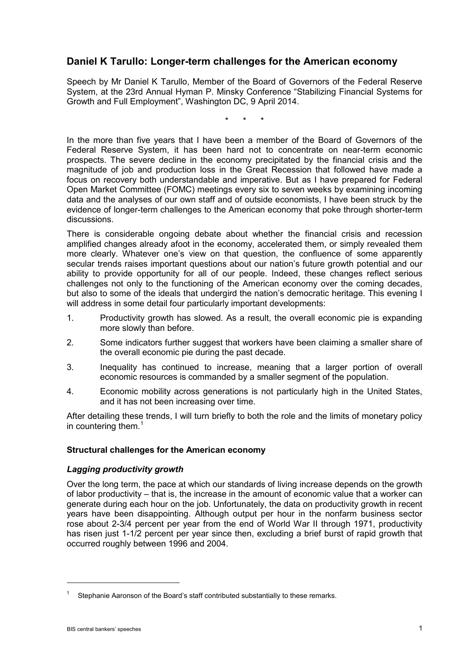# **Daniel K Tarullo: Longer-term challenges for the American economy**

Speech by Mr Daniel K Tarullo, Member of the Board of Governors of the Federal Reserve System, at the 23rd Annual Hyman P. Minsky Conference "Stabilizing Financial Systems for Growth and Full Employment", Washington DC, 9 April 2014.

\* \* \*

In the more than five years that I have been a member of the Board of Governors of the Federal Reserve System, it has been hard not to concentrate on near-term economic prospects. The severe decline in the economy precipitated by the financial crisis and the magnitude of job and production loss in the Great Recession that followed have made a focus on recovery both understandable and imperative. But as I have prepared for Federal Open Market Committee (FOMC) meetings every six to seven weeks by examining incoming data and the analyses of our own staff and of outside economists, I have been struck by the evidence of longer-term challenges to the American economy that poke through shorter-term discussions.

There is considerable ongoing debate about whether the financial crisis and recession amplified changes already afoot in the economy, accelerated them, or simply revealed them more clearly. Whatever one's view on that question, the confluence of some apparently secular trends raises important questions about our nation's future growth potential and our ability to provide opportunity for all of our people. Indeed, these changes reflect serious challenges not only to the functioning of the American economy over the coming decades, but also to some of the ideals that undergird the nation's democratic heritage. This evening I will address in some detail four particularly important developments:

- 1. Productivity growth has slowed. As a result, the overall economic pie is expanding more slowly than before.
- 2. Some indicators further suggest that workers have been claiming a smaller share of the overall economic pie during the past decade.
- 3. Inequality has continued to increase, meaning that a larger portion of overall economic resources is commanded by a smaller segment of the population.
- 4. Economic mobility across generations is not particularly high in the United States, and it has not been increasing over time.

After detailing these trends, I will turn briefly to both the role and the limits of monetary policy in countering them.<sup>[1](#page-0-0)</sup>

# **Structural challenges for the American economy**

# *Lagging productivity growth*

Over the long term, the pace at which our standards of living increase depends on the growth of labor productivity – that is, the increase in the amount of economic value that a worker can generate during each hour on the job. Unfortunately, the data on productivity growth in recent years have been disappointing. Although output per hour in the nonfarm business sector rose about 2-3/4 percent per year from the end of World War II through 1971, productivity has risen just 1-1/2 percent per year since then, excluding a brief burst of rapid growth that occurred roughly between 1996 and 2004.

<span id="page-0-0"></span>Stephanie Aaronson of the Board's staff contributed substantially to these remarks.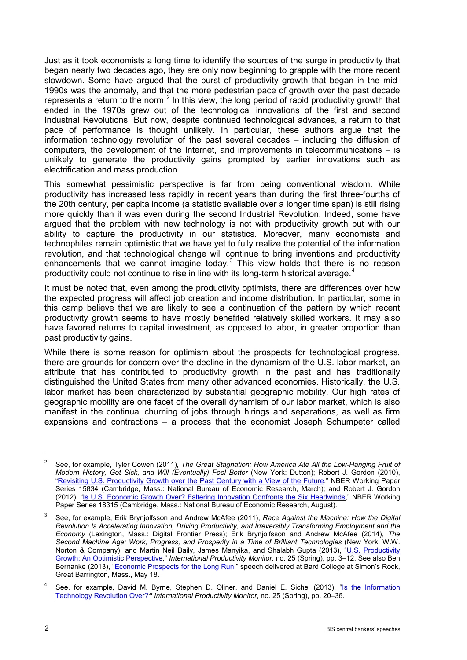Just as it took economists a long time to identify the sources of the surge in productivity that began nearly two decades ago, they are only now beginning to grapple with the more recent slowdown. Some have argued that the burst of productivity growth that began in the mid-1990s was the anomaly, and that the more pedestrian pace of growth over the past decade represents a return to the norm.<sup>[2](#page-1-0)</sup> In this view, the long period of rapid productivity growth that ended in the 1970s grew out of the technological innovations of the first and second Industrial Revolutions. But now, despite continued technological advances, a return to that pace of performance is thought unlikely. In particular, these authors argue that the information technology revolution of the past several decades – including the diffusion of computers, the development of the Internet, and improvements in telecommunications – is unlikely to generate the productivity gains prompted by earlier innovations such as electrification and mass production.

This somewhat pessimistic perspective is far from being conventional wisdom. While productivity has increased less rapidly in recent years than during the first three-fourths of the 20th century, per capita income (a statistic available over a longer time span) is still rising more quickly than it was even during the second Industrial Revolution. Indeed, some have argued that the problem with new technology is not with productivity growth but with our ability to capture the productivity in our statistics. Moreover, many economists and technophiles remain optimistic that we have yet to fully realize the potential of the information revolution, and that technological change will continue to bring inventions and productivity enhancements that we cannot imagine today.<sup>[3](#page-1-1)</sup> This view holds that there is no reason productivity could not continue to rise in line with its long-term historical average.<sup>[4](#page-1-2)</sup>

It must be noted that, even among the productivity optimists, there are differences over how the expected progress will affect job creation and income distribution. In particular, some in this camp believe that we are likely to see a continuation of the pattern by which recent productivity growth seems to have mostly benefited relatively skilled workers. It may also have favored returns to capital investment, as opposed to labor, in greater proportion than past productivity gains.

While there is some reason for optimism about the prospects for technological progress, there are grounds for concern over the decline in the dynamism of the U.S. labor market, an attribute that has contributed to productivity growth in the past and has traditionally distinguished the United States from many other advanced economies. Historically, the U.S. labor market has been characterized by substantial geographic mobility. Our high rates of geographic mobility are one facet of the overall dynamism of our labor market, which is also manifest in the continual churning of jobs through hirings and separations, as well as firm expansions and contractions – a process that the economist Joseph Schumpeter called

<span id="page-1-0"></span><sup>2</sup> See, for example, Tyler Cowen (2011), *The Great Stagnation: How America Ate All the Low-Hanging Fruit of Modern History, Got Sick, and Will (Eventually) Feel Better (New York: Dutton); Robert J. Gordon (2010),* ["Revisiting U.S. Productivity Growth over the Past Century with a View of the Future,"](http://www.nber.org/papers/w15834) NBER Working Paper Series 15834 (Cambridge, Mass.: National Bureau of Economic Research, March); and Robert J. Gordon (2012), ["Is U.S. Economic Growth Over? Faltering Innovation Confronts the Six Headwinds,"](http://www.nber.org/papers/w18315) NBER Working Paper Series 18315 (Cambridge, Mass.: National Bureau of Economic Research, August).

<span id="page-1-1"></span><sup>3</sup> See, for example, Erik Brynjolfsson and Andrew McAfee (2011), *Race Against the Machine: How the Digital Revolution Is Accelerating Innovation, Driving Productivity, and Irreversibly Transforming Employment and the Economy* (Lexington, Mass.: Digital Frontier Press); Erik Brynjolfsson and Andrew McAfee (2014), *The Second Machine Age: Work, Progress, and Prosperity in a Time of Brilliant Technologies* (New York: W.W. Norton & Company); and Martin Neil Baily, James Manyika, and Shalabh Gupta (2013), "<u>U.S. Productivity</u> [Growth: An Optimistic Perspective,"](http://ideas.repec.org/a/sls/ipmsls/v25y20131.html) *International Productivity Monitor,* no. 25 (Spring), pp. 3–12. See also Ben Bernanke (2013), "<u>Economic Prospects for the Long Run</u>," speech delivered at Bard College at Simon's Rock, Great Barrington, Mass., May 18.

<span id="page-1-2"></span>See, for example, David M. Byrne, Stephen D. Oliner, and Daniel E. Sichel (2013), "Is the Information [Technology Revolution Over?](http://ideas.repec.org/a/sls/ipmsls/v25y20133.html)*" International Productivity Monitor*, no. 25 (Spring), pp. 20–36.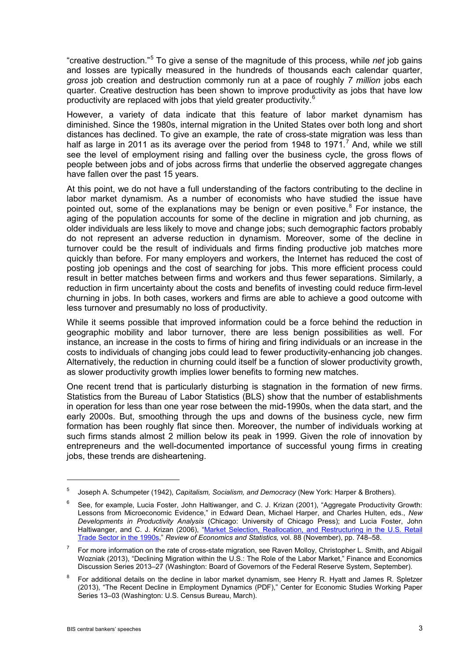"creative destruction." [5](#page-2-0) To give a sense of the magnitude of this process, while *net* job gains and losses are typically measured in the hundreds of thousands each calendar quarter, *gross* job creation and destruction commonly run at a pace of roughly *7 million* jobs each quarter. Creative destruction has been shown to improve productivity as jobs that have low productivity are replaced with jobs that yield greater productivity.<sup>[6](#page-2-1)</sup>

However, a variety of data indicate that this feature of labor market dynamism has diminished. Since the 1980s, internal migration in the United States over both long and short distances has declined. To give an example, the rate of cross-state migration was less than half as large in 2011 as its average over the period from 1948 to 19[7](#page-2-2)1.<sup>7</sup> And, while we still see the level of employment rising and falling over the business cycle, the gross flows of people between jobs and of jobs across firms that underlie the observed aggregate changes have fallen over the past 15 years.

At this point, we do not have a full understanding of the factors contributing to the decline in labor market dynamism. As a number of economists who have studied the issue have pointed out, some of the explanations may be benign or even positive. $8$  For instance, the aging of the population accounts for some of the decline in migration and job churning, as older individuals are less likely to move and change jobs; such demographic factors probably do not represent an adverse reduction in dynamism. Moreover, some of the decline in turnover could be the result of individuals and firms finding productive job matches more quickly than before. For many employers and workers, the Internet has reduced the cost of posting job openings and the cost of searching for jobs. This more efficient process could result in better matches between firms and workers and thus fewer separations. Similarly, a reduction in firm uncertainty about the costs and benefits of investing could reduce firm-level churning in jobs. In both cases, workers and firms are able to achieve a good outcome with less turnover and presumably no loss of productivity.

While it seems possible that improved information could be a force behind the reduction in geographic mobility and labor turnover, there are less benign possibilities as well. For instance, an increase in the costs to firms of hiring and firing individuals or an increase in the costs to individuals of changing jobs could lead to fewer productivity-enhancing job changes. Alternatively, the reduction in churning could itself be a function of slower productivity growth, as slower productivity growth implies lower benefits to forming new matches.

One recent trend that is particularly disturbing is stagnation in the formation of new firms. Statistics from the Bureau of Labor Statistics (BLS) show that the number of establishments in operation for less than one year rose between the mid-1990s, when the data start, and the early 2000s. But, smoothing through the ups and downs of the business cycle, new firm formation has been roughly flat since then. Moreover, the number of individuals working at such firms stands almost 2 million below its peak in 1999. Given the role of innovation by entrepreneurs and the well-documented importance of successful young firms in creating jobs, these trends are disheartening.

<span id="page-2-0"></span><sup>5</sup> Joseph A. Schumpeter (1942), *Capitalism, Socialism, and Democracy* (New York: Harper & Brothers).

<span id="page-2-1"></span><sup>&</sup>lt;sup>6</sup> See, for example, Lucia Foster, John Haltiwanger, and C. J. Krizan (2001), "Aggregate Productivity Growth: Lessons from Microeconomic Evidence," in Edward Dean, Michael Harper, and Charles Hulten, eds., *New Developments in Productivity Analysis* (Chicago: University of Chicago Press); and Lucia Foster, John Haltiwanger, and C. J. Krizan (2006), "Market Selection, Reallocation, and Restructuring in the U.S. Retail [Trade Sector in the 1990s,](http://ideas.repec.org/a/tpr/restat/v88y2006i4p748-758.html)" *Review of Economics and Statistics,* vol. 88 (November), pp. 748–58.

<span id="page-2-2"></span><sup>7</sup> For more information on the rate of cross-state migration, see Raven Molloy, Christopher L. Smith, and Abigail Wozniak (2013), ["Declining Migration within the U.S.: The Role of the Labor Market,](http://www.federalreserve.gov/pubs/feds/2013/201327/201327abs.html)" Finance and Economics Discussion Series 2013–27 (Washington: Board of Governors of the Federal Reserve System, September).

<span id="page-2-3"></span>For additional details on the decline in labor market dynamism, see Henry R. Hyatt and James R. Spletzer (2013), ["The Recent Decline in Employment Dynamics \(PDF\),](http://www2.census.gov/ces/wp/2013/CES-WP-13-03.pdf)" Center for Economic Studies Working Paper Series 13–03 (Washington: U.S. Census Bureau, March).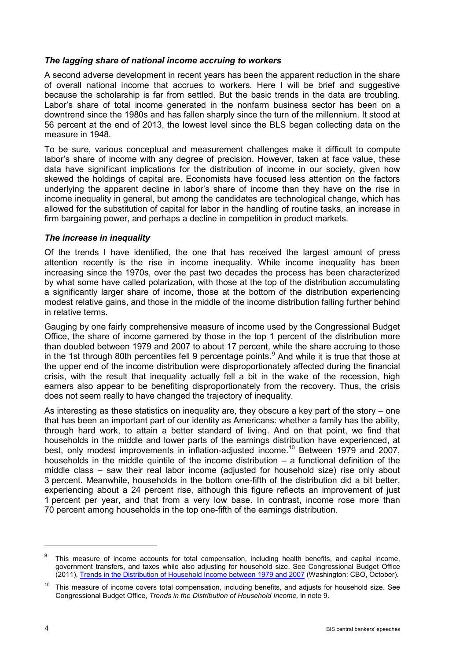## *The lagging share of national income accruing to workers*

A second adverse development in recent years has been the apparent reduction in the share of overall national income that accrues to workers. Here I will be brief and suggestive because the scholarship is far from settled. But the basic trends in the data are troubling. Labor's share of total income generated in the nonfarm business sector has been on a downtrend since the 1980s and has fallen sharply since the turn of the millennium. It stood at 56 percent at the end of 2013, the lowest level since the BLS began collecting data on the measure in 1948.

To be sure, various conceptual and measurement challenges make it difficult to compute labor's share of income with any degree of precision. However, taken at face value, these data have significant implications for the distribution of income in our society, given how skewed the holdings of capital are. Economists have focused less attention on the factors underlying the apparent decline in labor's share of income than they have on the rise in income inequality in general, but among the candidates are technological change, which has allowed for the substitution of capital for labor in the handling of routine tasks, an increase in firm bargaining power, and perhaps a decline in competition in product markets.

### *The increase in inequality*

Of the trends I have identified, the one that has received the largest amount of press attention recently is the rise in income inequality. While income inequality has been increasing since the 1970s, over the past two decades the process has been characterized by what some have called polarization, with those at the top of the distribution accumulating a significantly larger share of income, those at the bottom of the distribution experiencing modest relative gains, and those in the middle of the income distribution falling further behind in relative terms.

Gauging by one fairly comprehensive measure of income used by the Congressional Budget Office, the share of income garnered by those in the top 1 percent of the distribution more than doubled between 1979 and 2007 to about 17 percent, while the share accruing to those in the 1st through 80th percentiles fell [9](#page-3-0) percentage points.<sup>9</sup> And while it is true that those at the upper end of the income distribution were disproportionately affected during the financial crisis, with the result that inequality actually fell a bit in the wake of the recession, high earners also appear to be benefiting disproportionately from the recovery. Thus, the crisis does not seem really to have changed the trajectory of inequality.

As interesting as these statistics on inequality are, they obscure a key part of the story – one that has been an important part of our identity as Americans: whether a family has the ability, through hard work, to attain a better standard of living. And on that point, we find that households in the middle and lower parts of the earnings distribution have experienced, at best, only modest improvements in inflation-adjusted income.<sup>[10](#page-3-1)</sup> Between 1979 and 2007, households in the middle quintile of the income distribution – a functional definition of the middle class – saw their real labor income (adjusted for household size) rise only about 3 percent. Meanwhile, households in the bottom one-fifth of the distribution did a bit better, experiencing about a 24 percent rise, although this figure reflects an improvement of just 1 percent per year, and that from a very low base. In contrast, income rose more than 70 percent among households in the top one-fifth of the earnings distribution.

<span id="page-3-0"></span>This measure of income accounts for total compensation, including health benefits, and capital income, government transfers, and taxes while also adjusting for household size. See Congressional Budget Office (2011)[,](http://www.cbo.gov/publication/42729) [Trends in the Distribution of Household Income between 1979 and 2007](http://www.cbo.gov/publication/42729) (Washington: CBO, October).

<span id="page-3-1"></span><sup>&</sup>lt;sup>10</sup> This measure of income covers total compensation, including benefits, and adjusts for household size. See Congressional Budget Office, *Trends in the Distribution of Household Income,* in note 9.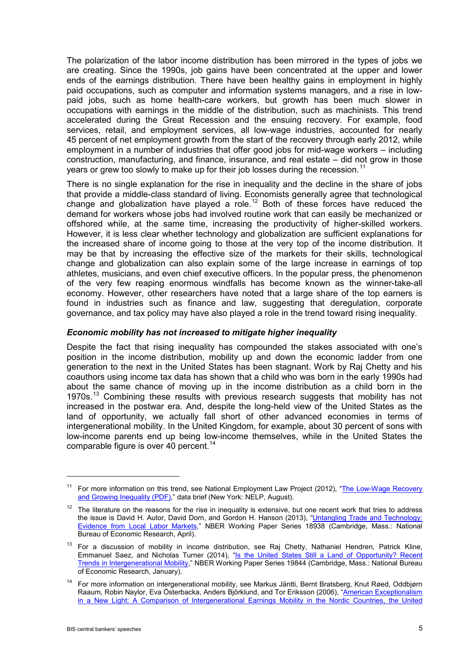The polarization of the labor income distribution has been mirrored in the types of jobs we are creating. Since the 1990s, job gains have been concentrated at the upper and lower ends of the earnings distribution. There have been healthy gains in employment in highly paid occupations, such as computer and information systems managers, and a rise in lowpaid jobs, such as home health-care workers, but growth has been much slower in occupations with earnings in the middle of the distribution, such as machinists. This trend accelerated during the Great Recession and the ensuing recovery. For example, food services, retail, and employment services, all low-wage industries, accounted for nearly 45 percent of net employment growth from the start of the recovery through early 2012, while employment in a number of industries that offer good jobs for mid-wage workers – including construction, manufacturing, and finance, insurance, and real estate – did not grow in those years or grew too slowly to make up for their job losses during the recession.<sup>[11](#page-4-0)</sup>

There is no single explanation for the rise in inequality and the decline in the share of jobs that provide a middle-class standard of living. Economists generally agree that technological change and globalization have played a role.<sup>[12](#page-4-1)</sup> Both of these forces have reduced the demand for workers whose jobs had involved routine work that can easily be mechanized or offshored while, at the same time, increasing the productivity of higher-skilled workers. However, it is less clear whether technology and globalization are sufficient explanations for the increased share of income going to those at the very top of the income distribution. It may be that by increasing the effective size of the markets for their skills, technological change and globalization can also explain some of the large increase in earnings of top athletes, musicians, and even chief executive officers. In the popular press, the phenomenon of the very few reaping enormous windfalls has become known as the winner-take-all economy. However, other researchers have noted that a large share of the top earners is found in industries such as finance and law, suggesting that deregulation, corporate governance, and tax policy may have also played a role in the trend toward rising inequality.

#### *Economic mobility has not increased to mitigate higher inequality*

Despite the fact that rising inequality has compounded the stakes associated with one's position in the income distribution, mobility up and down the economic ladder from one generation to the next in the United States has been stagnant. Work by Raj Chetty and his coauthors using income tax data has shown that a child who was born in the early 1990s had about the same chance of moving up in the income distribution as a child born in the 1970s.<sup>[13](#page-4-2)</sup> Combining these results with previous research suggests that mobility has not increased in the postwar era. And, despite the long-held view of the United States as the land of opportunity, we actually fall short of other advanced economies in terms of intergenerational mobility. In the United Kingdom, for example, about 30 percent of sons with low-income parents end up being low-income themselves, while in the United States the comparable figure is over 40 percent.<sup>[14](#page-4-3)</sup>

<span id="page-4-0"></span><sup>&</sup>lt;sup>11</sup> For more information on this trend, see National Employment Law Project (2012), "The Low-Wage Recovery [and Growing Inequality \(PDF\),](http://www.nelp.org/page/-/Job_Creation/LowWageRecovery2012.pdf?nocdn=1)" data brief (New York: NELP, August).

<span id="page-4-1"></span> $12$  The literature on the reasons for the rise in inequality is extensive, but one recent work that tries to address the issue is David H. Autor, David Dorn, and Gordon H. Hanson (2013), "Untangling Trade and Technology: [Evidence from Local Labor Markets,](http://www.nber.org/papers/w18938)" NBER Working Paper Series 18938 (Cambridge, Mass.: National Bureau of Economic Research, April).

<span id="page-4-2"></span><sup>&</sup>lt;sup>13</sup> For a discussion of mobility in income distribution, see Raj Chetty, Nathaniel Hendren, Patrick Kline, Emmanuel Saez, and Nicholas Turner (2014), "Is the United States Still a Land of Opportunity? Recent [Trends in Intergenerational Mobility,](http://www.nber.org/papers/w19844)" NBER Working Paper Series 19844 (Cambridge, Mass.: National Bureau of Economic Research, January).

<span id="page-4-3"></span><sup>&</sup>lt;sup>14</sup> For more information on intergenerational mobility, see Markus Jäntti, Bernt Bratsberg, Knut Røed, Oddbjørn Raaum, Robin Naylor, Eva Österbacka, Anders Björklund, and Tor Eriksson (2006), ["American Exceptionalism](http://ftp.iza.org/dp1938.pdf)  [in a New Light: A Comparison of Intergenerational Earnings Mobility in the Nordic Countries, the United](http://ftp.iza.org/dp1938.pdf)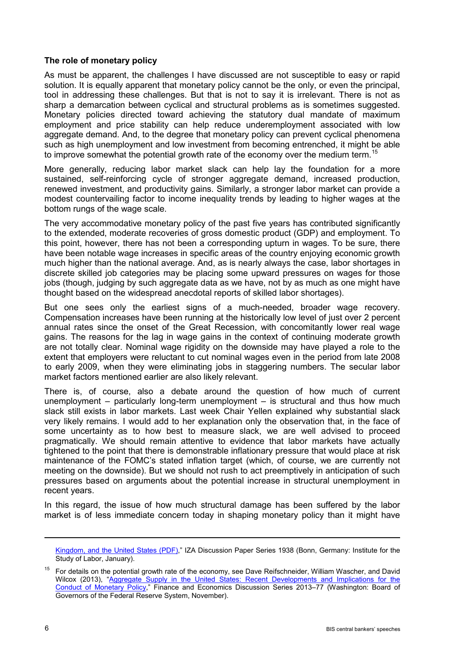## **The role of monetary policy**

As must be apparent, the challenges I have discussed are not susceptible to easy or rapid solution. It is equally apparent that monetary policy cannot be the only, or even the principal, tool in addressing these challenges. But that is not to say it is irrelevant. There is not as sharp a demarcation between cyclical and structural problems as is sometimes suggested. Monetary policies directed toward achieving the statutory dual mandate of maximum employment and price stability can help reduce underemployment associated with low aggregate demand. And, to the degree that monetary policy can prevent cyclical phenomena such as high unemployment and low investment from becoming entrenched, it might be able to improve somewhat the potential growth rate of the economy over the medium term.<sup>[15](#page-5-0)</sup>

More generally, reducing labor market slack can help lay the foundation for a more sustained, self-reinforcing cycle of stronger aggregate demand, increased production, renewed investment, and productivity gains. Similarly, a stronger labor market can provide a modest countervailing factor to income inequality trends by leading to higher wages at the bottom rungs of the wage scale.

The very accommodative monetary policy of the past five years has contributed significantly to the extended, moderate recoveries of gross domestic product (GDP) and employment. To this point, however, there has not been a corresponding upturn in wages. To be sure, there have been notable wage increases in specific areas of the country enjoying economic growth much higher than the national average. And, as is nearly always the case, labor shortages in discrete skilled job categories may be placing some upward pressures on wages for those jobs (though, judging by such aggregate data as we have, not by as much as one might have thought based on the widespread anecdotal reports of skilled labor shortages).

But one sees only the earliest signs of a much-needed, broader wage recovery. Compensation increases have been running at the historically low level of just over 2 percent annual rates since the onset of the Great Recession, with concomitantly lower real wage gains. The reasons for the lag in wage gains in the context of continuing moderate growth are not totally clear. Nominal wage rigidity on the downside may have played a role to the extent that employers were reluctant to cut nominal wages even in the period from late 2008 to early 2009, when they were eliminating jobs in staggering numbers. The secular labor market factors mentioned earlier are also likely relevant.

There is, of course, also a debate around the question of how much of current unemployment – particularly long-term unemployment – is structural and thus how much slack still exists in labor markets. Last week Chair Yellen explained why substantial slack very likely remains. I would add to her explanation only the observation that, in the face of some uncertainty as to how best to measure slack, we are well advised to proceed pragmatically. We should remain attentive to evidence that labor markets have actually tightened to the point that there is demonstrable inflationary pressure that would place at risk maintenance of the FOMC's stated inflation target (which, of course, we are currently not meeting on the downside). But we should not rush to act preemptively in anticipation of such pressures based on arguments about the potential increase in structural unemployment in recent years.

In this regard, the issue of how much structural damage has been suffered by the labor market is of less immediate concern today in shaping monetary policy than it might have

[Kingdom, and the United States \(PDF\),](http://ftp.iza.org/dp1938.pdf)" IZA Discussion Paper Series 1938 (Bonn, Germany: Institute for the Study of Labor, January).

<span id="page-5-0"></span><sup>&</sup>lt;sup>15</sup> For details on the potential growth rate of the economy, see Dave Reifschneider, William Wascher, and David Wilcox (2013), "Aggregate Supply in the United States: Recent Developments and Implications for the [Conduct of Monetary Policy,"](http://www.federalreserve.gov/pubs/feds/2013/201377/201377abs.html) Finance and Economics Discussion Series 2013–77 (Washington: Board of Governors of the Federal Reserve System, November).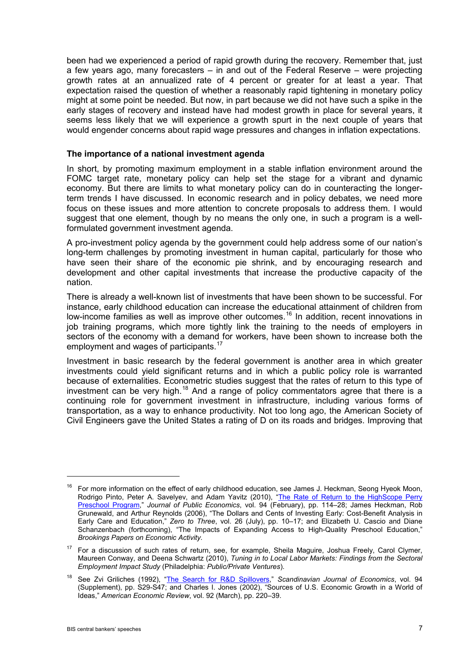been had we experienced a period of rapid growth during the recovery. Remember that, just a few years ago, many forecasters – in and out of the Federal Reserve – were projecting growth rates at an annualized rate of 4 percent or greater for at least a year. That expectation raised the question of whether a reasonably rapid tightening in monetary policy might at some point be needed. But now, in part because we did not have such a spike in the early stages of recovery and instead have had modest growth in place for several years, it seems less likely that we will experience a growth spurt in the next couple of years that would engender concerns about rapid wage pressures and changes in inflation expectations.

### **The importance of a national investment agenda**

In short, by promoting maximum employment in a stable inflation environment around the FOMC target rate, monetary policy can help set the stage for a vibrant and dynamic economy. But there are limits to what monetary policy can do in counteracting the longerterm trends I have discussed. In economic research and in policy debates, we need more focus on these issues and more attention to concrete proposals to address them. I would suggest that one element, though by no means the only one, in such a program is a wellformulated government investment agenda.

A pro-investment policy agenda by the government could help address some of our nation's long-term challenges by promoting investment in human capital, particularly for those who have seen their share of the economic pie shrink, and by encouraging research and development and other capital investments that increase the productive capacity of the nation.

There is already a well-known list of investments that have been shown to be successful. For instance, early childhood education can increase the educational attainment of children from low-income families as well as improve other outcomes.<sup>[16](#page-6-0)</sup> In addition, recent innovations in job training programs, which more tightly link the training to the needs of employers in sectors of the economy with a demand for workers, have been shown to increase both the employment and wages of participants.<sup>[17](#page-6-1)</sup>

Investment in basic research by the federal government is another area in which greater investments could yield significant returns and in which a public policy role is warranted because of externalities. Econometric studies suggest that the rates of return to this type of investment can be very high.<sup>[18](#page-6-2)</sup> And a range of policy commentators agree that there is a continuing role for government investment in infrastructure, including various forms of transportation, as a way to enhance productivity. Not too long ago, the American Society of Civil Engineers gave the United States a rating of D on its roads and bridges. Improving that

<span id="page-6-0"></span><sup>&</sup>lt;sup>16</sup> For more information on the effect of early childhood education, see James J. Heckman, Seong Hyeok Moon, Rodrigo Pinto, Peter A. Savelyev, and Adam Yavitz (2010), "<u>The Rate of Return to the HighScope Perry</u> [Preschool Program,](http://ideas.repec.org/a/eee/pubeco/v94y2010i1-2p114-128.html)" *Journal of Public Economics*, vol. 94 (February), pp. 114–28; James Heckman, Rob Grunewald, and Arthur Reynolds (2006), "The Dollars and Cents of Investing Early: Cost-Benefit Analysis in Early Care and Education," *Zero to Three*, vol. 26 (July), pp. 10–17; and Elizabeth U. Cascio and Diane Schanzenbach (forthcoming), "The Impacts of Expanding Access to High-Quality Preschool Education," *Brookings Papers on Economic Activity.*

<span id="page-6-1"></span><sup>&</sup>lt;sup>17</sup> For a discussion of such rates of return, see, for example, Sheila Maguire, Joshua Freely, Carol Clymer, Maureen Conway, and Deena Schwartz (2010), *Tuning in to Local Labor Markets: Findings from the Sectoral Employment Impact Study* (Philadelphia: *Public/Private Ventures*).

<span id="page-6-2"></span><sup>18</sup> See Zvi Griliches (1992), ["The Search for R&D Spillovers,](http://ideas.repec.org/a/bla/scandj/v94y1992i0ps29-47.html)" *Scandinavian Journal of Economics*, vol. 94 (Supplement), pp. S29-S47; and Charles I. Jones (2002), "Sources of U.S. Economic Growth in a World of Ideas," *American Economic Review*, vol. 92 (March), pp. 220–39.